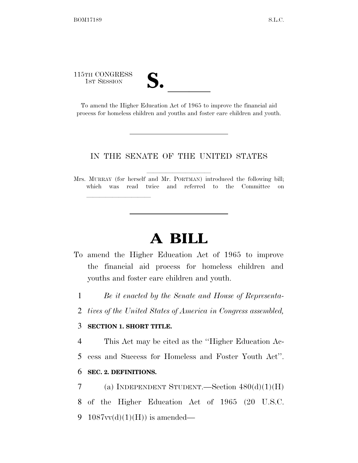115TH CONGRESS

lle and a second control of the second control of the second control of the second control of the second control of the second control of the second control of the second control of the second control of the second control

5TH CONGRESS<br>
1ST SESSION<br>
To amend the Higher Education Act of 1965 to improve the financial aid process for homeless children and youths and foster care children and youth.

#### IN THE SENATE OF THE UNITED STATES

Mrs. MURRAY (for herself and Mr. PORTMAN) introduced the following bill; which was read twice and referred to the Committee on

# **A BILL**

- To amend the Higher Education Act of 1965 to improve the financial aid process for homeless children and youths and foster care children and youth.
	- 1 *Be it enacted by the Senate and House of Representa-*
	- 2 *tives of the United States of America in Congress assembled,*

### 3 **SECTION 1. SHORT TITLE.**

4 This Act may be cited as the ''Higher Education Ac-

5 cess and Success for Homeless and Foster Youth Act''.

#### 6 **SEC. 2. DEFINITIONS.**

7 (a) INDEPENDENT STUDENT.—Section  $480(d)(1)(H)$ 

8 of the Higher Education Act of 1965 (20 U.S.C.

9 1087 $vv(d)(1)(H)$  is amended—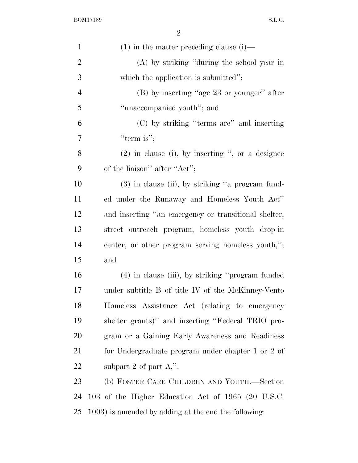| $\mathbf{1}$   | $(1)$ in the matter preceding clause $(i)$ —         |
|----------------|------------------------------------------------------|
| $\overline{2}$ | (A) by striking "during the school year in           |
| 3              | which the application is submitted";                 |
| $\overline{4}$ | $(B)$ by inserting "age 23 or younger" after         |
| 5              | "unaccompanied youth"; and                           |
| 6              | (C) by striking "terms are" and inserting            |
| 7              | "term is";                                           |
| 8              | $(2)$ in clause (i), by inserting ", or a designee   |
| 9              | of the liaison" after "Act";                         |
| 10             | $(3)$ in clause (ii), by striking "a program fund-   |
| 11             | ed under the Runaway and Homeless Youth Act"         |
| 12             | and inserting "an emergency or transitional shelter, |
| 13             | street outreach program, homeless youth drop-in      |
| 14             | center, or other program serving homeless youth,";   |
| 15             | and                                                  |
| 16             | (4) in clause (iii), by striking "program funded     |
| 17             | under subtitle B of title IV of the McKinney-Vento   |
| 18             | Homeless Assistance Act (relating to emergency       |
| 19             | shelter grants)" and inserting "Federal TRIO pro-    |
| 20             | gram or a Gaining Early Awareness and Readiness      |
| 21             | for Undergraduate program under chapter 1 or 2 of    |
| 22             | subpart 2 of part $A$ ,".                            |
| 23             | (b) FOSTER CARE CHILDREN AND YOUTH.—Section          |
| 24             | 103 of the Higher Education Act of 1965 (20 U.S.C.   |
| 25             | 1003) is amended by adding at the end the following: |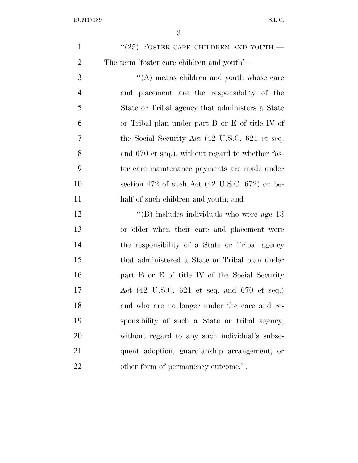| $\mathbf{1}$   | $``(25)$ FOSTER CARE CHILDREN AND YOUTH.—                               |
|----------------|-------------------------------------------------------------------------|
| $\overline{2}$ | The term 'foster care children and youth'—                              |
| 3              | $\lq\lq$ means children and youth whose care                            |
| $\overline{4}$ | and placement are the responsibility of the                             |
| 5              | State or Tribal agency that administers a State                         |
| 6              | or Tribal plan under part B or E of title IV of                         |
| 7              | the Social Security Act (42 U.S.C. 621 et seq.                          |
| 8              | and 670 et seq.), without regard to whether fos-                        |
| 9              | ter care maintenance payments are made under                            |
| 10             | section 472 of such Act $(42 \text{ U.S.C. } 672)$ on be-               |
| 11             | half of such children and youth; and                                    |
| 12             | "(B) includes individuals who were age $13$                             |
| 13             | or older when their care and placement were                             |
| 14             | the responsibility of a State or Tribal agency                          |
| 15             | that administered a State or Tribal plan under                          |
| 16             | part B or E of title IV of the Social Security                          |
| 17             | Act $(42 \text{ U.S.C. } 621 \text{ et seq. and } 670 \text{ et seq.})$ |
| 18             | and who are no longer under the care and re-                            |
| 19             | sponsibility of such a State or tribal agency,                          |
| 20             | without regard to any such individual's subse-                          |
| 21             | quent adoption, guardianship arrangement, or                            |
| 22             | other form of permanency outcome.".                                     |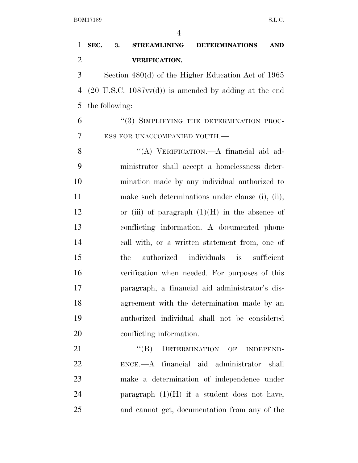| 1              | SEC.<br>3.<br><b>STREAMLINING</b><br><b>DETERMINATIONS</b><br><b>AND</b> |
|----------------|--------------------------------------------------------------------------|
| $\overline{2}$ | <b>VERIFICATION.</b>                                                     |
| 3              | Section $480(d)$ of the Higher Education Act of 1965                     |
| 4              | $(20 \text{ U.S.C. } 1087 \text{vv}(d))$ is amended by adding at the end |
| 5              | the following:                                                           |
| 6              | "(3) SIMPLIFYING THE DETERMINATION PROC-                                 |
| 7              | ESS FOR UNACCOMPANIED YOUTH.-                                            |
| 8              | "(A) VERIFICATION.—A financial aid ad-                                   |
| 9              | ministrator shall accept a homelessness deter-                           |
| 10             | mination made by any individual authorized to                            |
| 11             | make such determinations under clause (i), (ii),                         |
| 12             | or (iii) of paragraph $(1)(H)$ in the absence of                         |
| 13             | conflicting information. A documented phone                              |
| 14             | call with, or a written statement from, one of                           |
| 15             | authorized individuals is<br>sufficient<br>the                           |
| 16             | verification when needed. For purposes of this                           |
| 17             | paragraph, a financial aid administrator's dis-                          |
| 18             | agreement with the determination made by an                              |
| 19             | authorized individual shall not be considered                            |
| 20             | conflicting information.                                                 |
| 21             | DETERMINATION OF INDEPEND-<br>$\lq\lq (B)$                               |
| 22             | ENCE.—A financial aid administrator shall                                |
| 23             | make a determination of independence under                               |
| 24             | paragraph $(1)(H)$ if a student does not have,                           |
| 25             | and cannot get, documentation from any of the                            |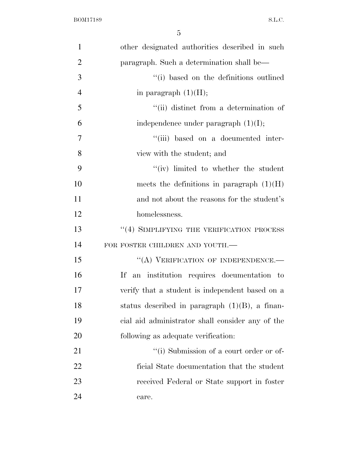| $\mathbf{1}$   | other designated authorities described in such    |
|----------------|---------------------------------------------------|
| $\overline{2}$ | paragraph. Such a determination shall be—         |
| 3              | "(i) based on the definitions outlined            |
| $\overline{4}$ | in paragraph $(1)(H);$                            |
| 5              | "(ii) distinct from a determination of            |
| 6              | independence under paragraph $(1)(I);$            |
| $\overline{7}$ | "(iii) based on a documented inter-               |
| 8              | view with the student; and                        |
| 9              | $``(iv)$ limited to whether the student           |
| 10             | meets the definitions in paragraph $(1)(H)$       |
| 11             | and not about the reasons for the student's       |
| 12             | homelessness.                                     |
| 13             | "(4) SIMPLIFYING THE VERIFICATION PROCESS         |
| 14             | FOR FOSTER CHILDREN AND YOUTH.-                   |
| 15             | "(A) VERIFICATION OF INDEPENDENCE.-               |
| 16             | an institution requires documentation to<br>If    |
| 17             | verify that a student is independent based on a   |
| 18             | status described in paragraph $(1)(B)$ , a finan- |
| 19             | cial aid administrator shall consider any of the  |
| 20             | following as adequate verification:               |
| 21             | "(i) Submission of a court order or of-           |
| 22             | ficial State documentation that the student       |
| 23             | received Federal or State support in foster       |
| 24             | care.                                             |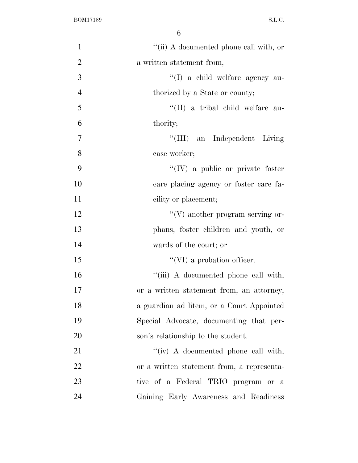| $\mathbf{1}$   | "(ii) A documented phone call with, or     |
|----------------|--------------------------------------------|
| $\overline{2}$ | a written statement from,—                 |
| 3              | "(I) a child welfare agency au-            |
| $\overline{4}$ | thorized by a State or county;             |
| 5              | "(II) a tribal child welfare au-           |
| 6              | thority;                                   |
| $\overline{7}$ | "(III) an Independent Living               |
| 8              | case worker;                               |
| 9              | $\lq\lq (IV)$ a public or private foster   |
| 10             | care placing agency or foster care fa-     |
| 11             | cility or placement;                       |
| 12             | $\lq\lq(V)$ another program serving or-    |
| 13             | phans, foster children and youth, or       |
| 14             | wards of the court; or                     |
| 15             | $\lq\lq$ (VI) a probation officer.         |
| 16             | "(iii) A documented phone call with,       |
| 17             | or a written statement from, an attorney,  |
| 18             | a guardian ad litem, or a Court Appointed  |
| 19             | Special Advocate, documenting that per-    |
| 20             | son's relationship to the student.         |
| 21             | "(iv) A documented phone call with,        |
| 22             | or a written statement from, a representa- |
| 23             | tive of a Federal TRIO program or a        |
| 24             | Gaining Early Awareness and Readiness      |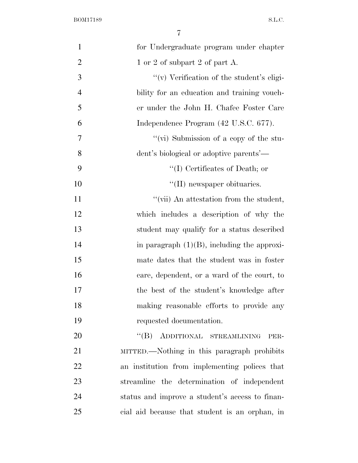| $\mathbf{1}$   | for Undergraduate program under chapter         |
|----------------|-------------------------------------------------|
| $\overline{2}$ | 1 or 2 of subpart 2 of part A.                  |
| 3              | "(v) Verification of the student's eligi-       |
| $\overline{4}$ | bility for an education and training vouch-     |
| 5              | er under the John H. Chafee Foster Care         |
| 6              | Independence Program (42 U.S.C. 677).           |
| $\tau$         | "(vi) Submission of a copy of the stu-          |
| 8              | dent's biological or adoptive parents'—         |
| 9              | $\lq\lq$ (I) Certificates of Death; or          |
| 10             | $\lq\lq$ (II) newspaper obituaries.             |
| 11             | "(vii) An attestation from the student,         |
| 12             | which includes a description of why the         |
| 13             | student may qualify for a status described      |
| 14             | in paragraph $(1)(B)$ , including the approxi-  |
| 15             | mate dates that the student was in foster       |
| 16             | care, dependent, or a ward of the court, to     |
| 17             | the best of the student's knowledge after       |
| 18             | making reasonable efforts to provide any        |
| 19             | requested documentation.                        |
| 20             | "(B) ADDITIONAL STREAMLINING<br>PER-            |
| 21             | MITTED.—Nothing in this paragraph prohibits     |
| 22             | an institution from implementing polices that   |
| 23             | streamline the determination of independent     |
| 24             | status and improve a student's access to finan- |
| 25             | cial aid because that student is an orphan, in  |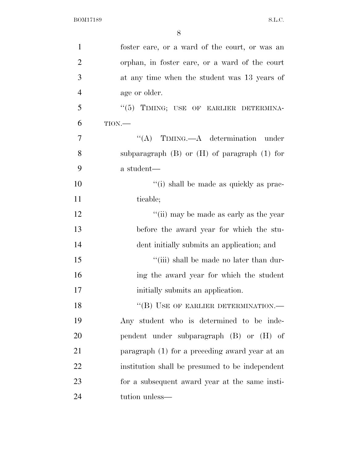| $\mathbf{1}$   | foster care, or a ward of the court, or was an     |
|----------------|----------------------------------------------------|
| $\overline{2}$ | orphan, in foster care, or a ward of the court     |
| 3              | at any time when the student was 13 years of       |
| $\overline{4}$ | age or older.                                      |
| 5              | "(5) TIMING; USE OF EARLIER DETERMINA-             |
| 6              | TION.                                              |
| $\overline{7}$ | $\lq\lq$ (A) TIMING.—A determination<br>under      |
| 8              | subparagraph $(B)$ or $(H)$ of paragraph $(1)$ for |
| 9              | a student—                                         |
| 10             | "(i) shall be made as quickly as prac-             |
| 11             | ticable;                                           |
| 12             | "(ii) may be made as early as the year             |
| 13             | before the award year for which the stu-           |
| 14             | dent initially submits an application; and         |
| 15             | "(iii) shall be made no later than dur-            |
| 16             | ing the award year for which the student           |
| 17             | initially submits an application.                  |
| 18             | "(B) USE OF EARLIER DETERMINATION.-                |
| 19             | Any student who is determined to be inde-          |
| 20             | pendent under subparagraph (B) or (H) of           |
| 21             | paragraph (1) for a preceding award year at an     |
| 22             | institution shall be presumed to be independent    |
| 23             | for a subsequent award year at the same insti-     |
| 24             | tution unless—                                     |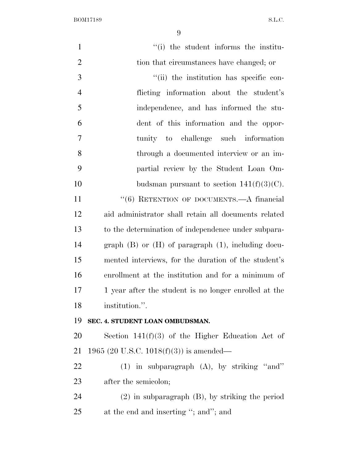| $\mathbf{1}$   | "(i) the student informs the institu-                     |
|----------------|-----------------------------------------------------------|
| $\mathbf{2}$   | tion that circumstances have changed; or                  |
| 3              | "(ii) the institution has specific con-                   |
| $\overline{4}$ | flicting information about the student's                  |
| 5              | independence, and has informed the stu-                   |
| 6              | dent of this information and the oppor-                   |
| $\tau$         | tunity to challenge such information                      |
| 8              | through a documented interview or an im-                  |
| 9              | partial review by the Student Loan Om-                    |
| 10             | budsman pursuant to section $141(f)(3)(C)$ .              |
| 11             | "(6) RETENTION OF DOCUMENTS.—A financial                  |
| 12             | aid administrator shall retain all documents related      |
| 13             | to the determination of independence under subpara-       |
| 14             | graph $(B)$ or $(H)$ of paragraph $(1)$ , including docu- |
| 15             | mented interviews, for the duration of the student's      |
| 16             | enrollment at the institution and for a minimum of        |
| 17             | 1 year after the student is no longer enrolled at the     |
| 18             | institution.".                                            |
| 19             | SEC. 4. STUDENT LOAN OMBUDSMAN.                           |
| 20             | Section $141(f)(3)$ of the Higher Education Act of        |
| 21             | 1965 (20 U.S.C. 1018(f)(3)) is amended—                   |
| 22             | $(1)$ in subparagraph $(A)$ , by striking "and"           |
| 23             | after the semicolon;                                      |
| 24             | $(2)$ in subparagraph $(B)$ , by striking the period      |
| 25             | at the end and inserting "; and"; and                     |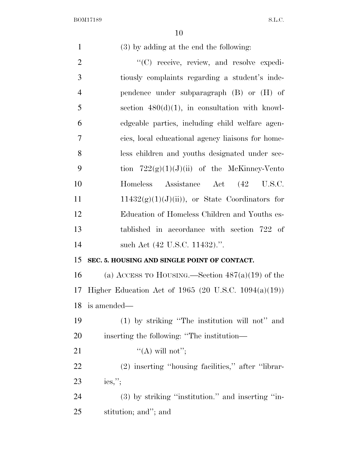(3) by adding at the end the following:

 $\langle \text{C} \rangle$  receive, review, and resolve expedi- tiously complaints regarding a student's inde- pendence under subparagraph (B) or (H) of section  $480(d)(1)$ , in consultation with knowl- edgeable parties, including child welfare agen- cies, local educational agency liaisons for home- less children and youths designated under sec-9 tion  $722(g)(1)(J)(ii)$  of the McKinney-Vento Homeless Assistance Act (42 U.S.C.  $11432(g)(1)(J)(ii)$ , or State Coordinators for Education of Homeless Children and Youths es- tablished in accordance with section 722 of 14 such Act (42 U.S.C. 11432).". **SEC. 5. HOUSING AND SINGLE POINT OF CONTACT.**  16 (a) ACCESS TO HOUSING.—Section  $487(a)(19)$  of the Higher Education Act of 1965 (20 U.S.C. 1094(a)(19)) is amended—

 (1) by striking ''The institution will not'' and inserting the following: ''The institution—

21  $\mathcal{C}(A)$  will not'';

 (2) inserting ''housing facilities,'' after ''librar-ies,'';

 (3) by striking ''institution.'' and inserting ''in-stitution; and''; and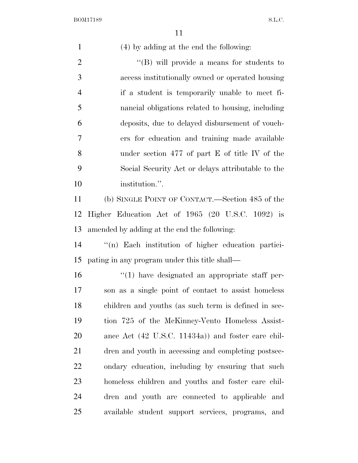(4) by adding at the end the following:

2 ''(B) will provide a means for students to access institutionally owned or operated housing if a student is temporarily unable to meet fi- nancial obligations related to housing, including deposits, due to delayed disbursement of vouch- ers for education and training made available under section 477 of part E of title IV of the Social Security Act or delays attributable to the 10 institution.".

 (b) SINGLE POINT OF CONTACT.—Section 485 of the Higher Education Act of 1965 (20 U.S.C. 1092) is amended by adding at the end the following:

 ''(n) Each institution of higher education partici-pating in any program under this title shall—

 ''(1) have designated an appropriate staff per- son as a single point of contact to assist homeless children and youths (as such term is defined in sec- tion 725 of the McKinney-Vento Homeless Assist- ance Act (42 U.S.C. 11434a)) and foster care chil- dren and youth in accessing and completing postsec- ondary education, including by ensuring that such homeless children and youths and foster care chil- dren and youth are connected to applicable and available student support services, programs, and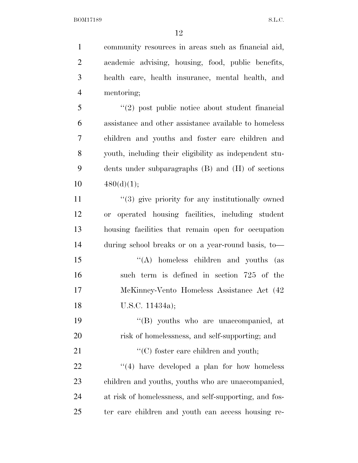community resources in areas such as financial aid, academic advising, housing, food, public benefits, health care, health insurance, mental health, and mentoring; ''(2) post public notice about student financial assistance and other assistance available to homeless children and youths and foster care children and youth, including their eligibility as independent stu- dents under subparagraphs (B) and (H) of sections  $480(d)(1);$ 11 ''(3) give priority for any institutionally owned or operated housing facilities, including student housing facilities that remain open for occupation during school breaks or on a year-round basis, to— 15 "(A) homeless children and youths (as such term is defined in section 725 of the McKinney-Vento Homeless Assistance Act (42 U.S.C. 11434a); ''(B) youths who are unaccompanied, at risk of homelessness, and self-supporting; and  $\cdot$  (C) foster care children and youth;  $\frac{1}{22}$  ''(4) have developed a plan for how homeless children and youths, youths who are unaccompanied, at risk of homelessness, and self-supporting, and fos-ter care children and youth can access housing re-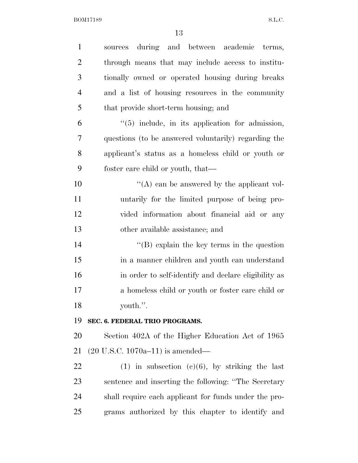| $\mathbf{1}$   | sources during and between academic terms,            |
|----------------|-------------------------------------------------------|
| $\overline{2}$ | through means that may include access to institu-     |
| 3              | tionally owned or operated housing during breaks      |
| $\overline{4}$ | and a list of housing resources in the community      |
| 5              | that provide short-term housing; and                  |
| 6              | $\lq(5)$ include, in its application for admission,   |
| 7              | questions (to be answered voluntarily) regarding the  |
| 8              | applicant's status as a homeless child or youth or    |
| 9              | foster care child or youth, that—                     |
| 10             | "(A) can be answered by the applicant vol-            |
| 11             | untarily for the limited purpose of being pro-        |
| 12             | vided information about financial aid or any          |
| 13             | other available assistance; and                       |
| 14             | $\lq\lq$ (B) explain the key terms in the question    |
| 15             | in a manner children and youth can understand         |
| 16             | in order to self-identify and declare eligibility as  |
| 17             | a homeless child or youth or foster care child or     |
| 18             | youth.".                                              |
| 19             | SEC. 6. FEDERAL TRIO PROGRAMS.                        |
| 20             | Section 402A of the Higher Education Act of 1965      |
| 21             | $(20 \text{ U.S.C. } 1070a-11)$ is amended—           |
| 22             | $(1)$ in subsection $(e)(6)$ , by striking the last   |
| 23             | sentence and inserting the following: "The Secretary  |
| 24             | shall require each applicant for funds under the pro- |
| 25             | grams authorized by this chapter to identify and      |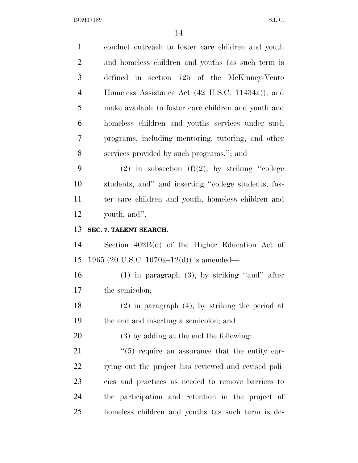| $\mathbf{1}$   | conduct outreach to foster care children and youth         |
|----------------|------------------------------------------------------------|
| $\overline{2}$ | and homeless children and youths (as such term is          |
| 3              | defined in section 725 of the McKinney-Vento               |
| $\overline{4}$ | Homeless Assistance Act (42 U.S.C. 11434a)), and           |
| 5              | make available to foster care children and youth and       |
| 6              | homeless children and youths services under such           |
| 7              | programs, including mentoring, tutoring, and other         |
| 8              | services provided by such programs."; and                  |
| 9              | (2) in subsection (f)(2), by striking "college             |
| 10             | students, and" and inserting "college students, fos-       |
| 11             | ter care children and youth, homeless children and         |
| 12             | youth, and".                                               |
| 13             | SEC. 7. TALENT SEARCH.                                     |
| 14             | Section 402B(d) of the Higher Education Act of             |
| 15             | 1965 (20 U.S.C. 1070a–12(d)) is amended—                   |
| 16             | $(1)$ in paragraph $(3)$ , by striking "and" after         |
| 17             | the semicolon;                                             |
| 18             | $(2)$ in paragraph $(4)$ , by striking the period at       |
| 19             | the end and inserting a semicolon; and                     |
|                |                                                            |
| 20             | (3) by adding at the end the following:                    |
| 21             | $\cdot\cdot$ (5) require an assurance that the entity car- |
| 22             | rying out the project has reviewed and revised poli-       |
| 23             | cies and practices as needed to remove barriers to         |
| 24             | the participation and retention in the project of          |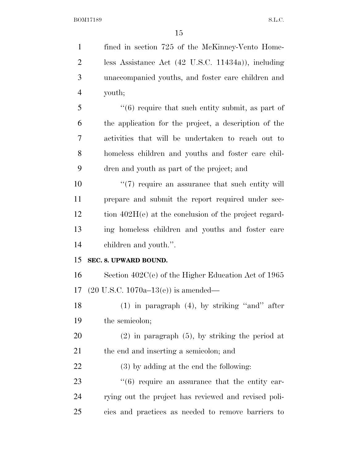| $\mathbf{1}$   | fined in section 725 of the McKinney-Vento Home-               |
|----------------|----------------------------------------------------------------|
| $\overline{2}$ | less Assistance Act $(42 \text{ U.S.C. } 11434a)$ , including  |
| 3              | unaccompanied youths, and foster care children and             |
| $\overline{4}$ | youth;                                                         |
| 5              | $"(6)$ require that such entity submit, as part of             |
| 6              | the application for the project, a description of the          |
| 7              | activities that will be undertaken to reach out to             |
| 8              | homeless children and youths and foster care chil-             |
| 9              | dren and youth as part of the project; and                     |
| 10             | $\lq(7)$ require an assurance that such entity will            |
| 11             | prepare and submit the report required under sec-              |
| 12             | tion $402H(e)$ at the conclusion of the project regard-        |
| 13             | ing homeless children and youths and foster care               |
| 14             | children and youth.".                                          |
| 15             | SEC. 8. UPWARD BOUND.                                          |
| 16             | Section $402C(e)$ of the Higher Education Act of 1965          |
| 17             | $(20 \text{ U.S.C. } 1070a-13(e))$ is amended—                 |
| 18             | $(1)$ in paragraph $(4)$ , by striking "and" after             |
| 19             | the semicolon;                                                 |
| <b>20</b>      | $(2)$ in paragraph $(5)$ , by striking the period at           |
| 21             | the end and inserting a semicolon; and                         |
| 22             | (3) by adding at the end the following:                        |
| 23             | $\cdot\cdot\cdot(6)$ require an assurance that the entity car- |
| 24             | rying out the project has reviewed and revised poli-           |
| 25             | cies and practices as needed to remove barriers to             |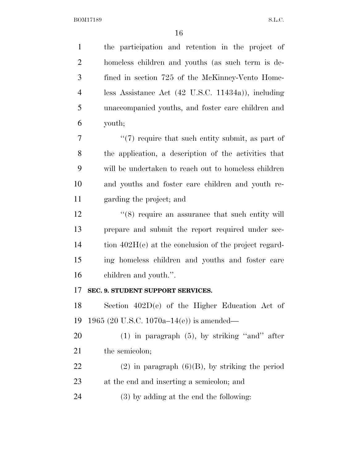the participation and retention in the project of homeless children and youths (as such term is de- fined in section 725 of the McKinney-Vento Home- less Assistance Act (42 U.S.C. 11434a)), including unaccompanied youths, and foster care children and youth;  $\frac{1}{7}$  ''(7) require that such entity submit, as part of the application, a description of the activities that will be undertaken to reach out to homeless children and youths and foster care children and youth re- garding the project; and 12 ''(8) require an assurance that such entity will prepare and submit the report required under sec-14 tion 402H(e) at the conclusion of the project regard-ing homeless children and youths and foster care

children and youth.''.

#### **SEC. 9. STUDENT SUPPORT SERVICES.**

 Section 402D(e) of the Higher Education Act of 1965 (20 U.S.C. 1070a–14(e)) is amended—

 (1) in paragraph (5), by striking ''and'' after 21 the semicolon;

22 (2) in paragraph  $(6)(B)$ , by striking the period at the end and inserting a semicolon; and

(3) by adding at the end the following: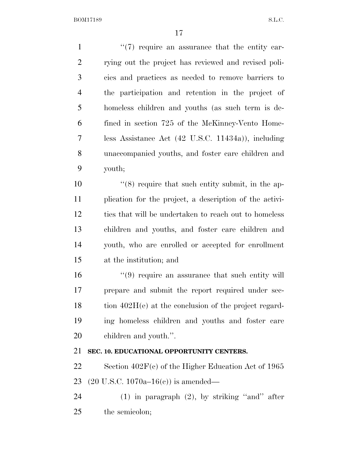$\frac{1}{2}$  (7) require an assurance that the entity car- rying out the project has reviewed and revised poli- cies and practices as needed to remove barriers to the participation and retention in the project of homeless children and youths (as such term is de- fined in section 725 of the McKinney-Vento Home- less Assistance Act (42 U.S.C. 11434a)), including unaccompanied youths, and foster care children and youth; 10 ''(8) require that such entity submit, in the ap- plication for the project, a description of the activi- ties that will be undertaken to reach out to homeless children and youths, and foster care children and youth, who are enrolled or accepted for enrollment at the institution; and 16 ''(9) require an assurance that such entity will prepare and submit the report required under sec-18 tion 402H(e) at the conclusion of the project regard-

 ing homeless children and youths and foster care children and youth.''.

## **SEC. 10. EDUCATIONAL OPPORTUNITY CENTERS.**

 Section 402F(c) of the Higher Education Act of 1965 (20 U.S.C. 1070a–16(c)) is amended—

 (1) in paragraph (2), by striking ''and'' after the semicolon;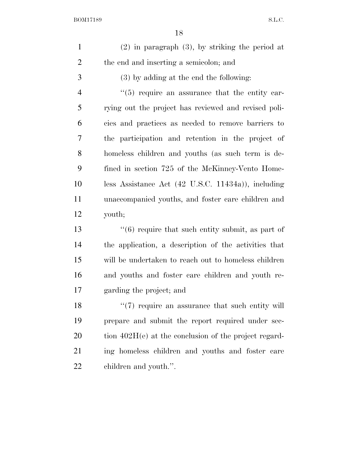| $\mathbf{1}$   | $(2)$ in paragraph $(3)$ , by striking the period at          |
|----------------|---------------------------------------------------------------|
| $\overline{2}$ | the end and inserting a semicolon; and                        |
| 3              | $(3)$ by adding at the end the following:                     |
| $\overline{4}$ | $\cdot\cdot$ (5) require an assurance that the entity car-    |
| 5              | rying out the project has reviewed and revised poli-          |
| 6              | cies and practices as needed to remove barriers to            |
| 7              | the participation and retention in the project of             |
| 8              | homeless children and youths (as such term is de-             |
| 9              | fined in section 725 of the McKinney-Vento Home-              |
| 10             | less Assistance Act $(42 \text{ U.S.C. } 11434a)$ , including |
| 11             | unaccompanied youths, and foster care children and            |
| 12             | youth;                                                        |
| 13             | $(6)$ require that such entity submit, as part of             |
| 14             | the application, a description of the activities that         |
| 15             | will be undertaken to reach out to homeless children          |
| 16             | and youths and foster care children and youth re-             |
| 17             | garding the project; and                                      |
| 18             | $\lq(7)$ require an assurance that such entity will           |
| 19             | prepare and submit the report required under sec-             |
| <b>20</b>      | tion $402H(e)$ at the conclusion of the project regard-       |
| 21             |                                                               |
|                | ing homeless children and youths and foster care              |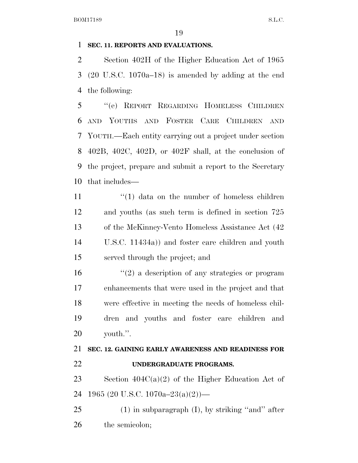#### **SEC. 11. REPORTS AND EVALUATIONS.**

 Section 402H of the Higher Education Act of 1965 (20 U.S.C. 1070a–18) is amended by adding at the end the following:

 ''(e) REPORT REGARDING HOMELESS CHILDREN AND YOUTHS AND FOSTER CARE CHILDREN AND YOUTH.—Each entity carrying out a project under section 402B, 402C, 402D, or 402F shall, at the conclusion of the project, prepare and submit a report to the Secretary that includes—

 $\frac{1}{2}$   $\frac{1}{2}$  data on the number of homeless children and youths (as such term is defined in section 725 of the McKinney-Vento Homeless Assistance Act (42 U.S.C. 11434a)) and foster care children and youth served through the project; and

 $\frac{1}{2}$  a description of any strategies or program enhancements that were used in the project and that were effective in meeting the needs of homeless chil- dren and youths and foster care children and youth.''.

# **SEC. 12. GAINING EARLY AWARENESS AND READINESS FOR UNDERGRADUATE PROGRAMS.**

23 Section  $404C(a)(2)$  of the Higher Education Act of 1965 (20 U.S.C. 1070a–23(a)(2))—

 (1) in subparagraph (I), by striking "and" after the semicolon;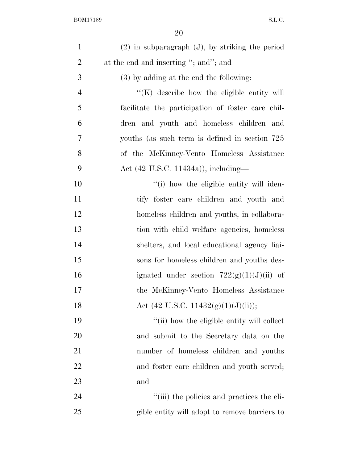| $\mathbf{1}$   | $(2)$ in subparagraph $(J)$ , by striking the period |
|----------------|------------------------------------------------------|
| $\overline{2}$ | at the end and inserting "; and"; and                |
| 3              | $(3)$ by adding at the end the following:            |
| $\overline{4}$ | $\lq\lq$ (K) describe how the eligible entity will   |
| 5              | facilitate the participation of foster care chil-    |
| 6              | dren and youth and homeless children and             |
| $\overline{7}$ | youths (as such term is defined in section 725)      |
| 8              | of the McKinney-Vento Homeless Assistance            |
| 9              | Act (42 U.S.C. 11434a)), including—                  |
| 10             | "(i) how the eligible entity will iden-              |
| 11             | tify foster care children and youth and              |
| 12             | homeless children and youths, in collabora-          |
| 13             | tion with child welfare agencies, homeless           |
| 14             | shelters, and local educational agency liai-         |
| 15             | sons for homeless children and youths des-           |
| 16             | ignated under section $722(g)(1)(J)(ii)$ of          |
| 17             | the McKinney-Vento Homeless Assistance               |
| 18             | Act (42 U.S.C. 11432 $(g)(1)(J)(ii)$ );              |
| 19             | "(ii) how the eligible entity will collect           |
| 20             | and submit to the Secretary data on the              |
| 21             | number of homeless children and youths               |
| 22             | and foster care children and youth served;           |
| 23             | and                                                  |
| 24             | "(iii) the policies and practices the eli-           |
| 25             | gible entity will adopt to remove barriers to        |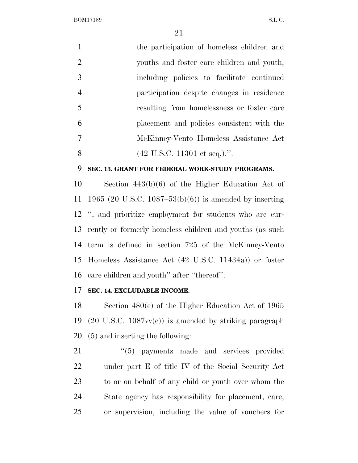|                | the participation of homeless children and       |
|----------------|--------------------------------------------------|
| 2              | youths and foster care children and youth,       |
| 3              | including policies to facilitate continued       |
| $\overline{4}$ | participation despite changes in residence       |
| $\overline{5}$ | resulting from homelessness or foster care       |
| 6              | placement and policies consistent with the       |
| $\overline{7}$ | McKinney-Vento Homeless Assistance Act           |
| 8              | $(42 \text{ U.S.C. } 11301 \text{ et seq.})$ .". |

#### **SEC. 13. GRANT FOR FEDERAL WORK-STUDY PROGRAMS.**

 Section 443(b)(6) of the Higher Education Act of 1965 (20 U.S.C. 1087–53(b)(6)) is amended by inserting '', and prioritize employment for students who are cur- rently or formerly homeless children and youths (as such term is defined in section 725 of the McKinney-Vento Homeless Assistance Act (42 U.S.C. 11434a)) or foster care children and youth'' after ''thereof''.

### **SEC. 14. EXCLUDABLE INCOME.**

 Section 480(e) of the Higher Education Act of 1965 (20 U.S.C. 1087vv(e)) is amended by striking paragraph (5) and inserting the following:

 $\frac{1}{2}$  (5) payments made and services provided under part E of title IV of the Social Security Act to or on behalf of any child or youth over whom the State agency has responsibility for placement, care, or supervision, including the value of vouchers for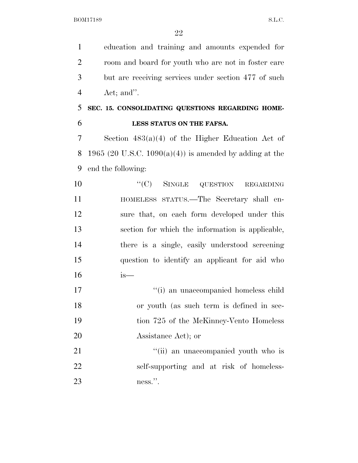education and training and amounts expended for room and board for youth who are not in foster care but are receiving services under section 477 of such Act; and''.

## **SEC. 15. CONSOLIDATING QUESTIONS REGARDING HOME-LESS STATUS ON THE FAFSA.**

 Section 483(a)(4) of the Higher Education Act of 8 1965 (20 U.S.C. 1090(a)(4)) is amended by adding at the end the following:

10 "(C) SINGLE QUESTION REGARDING HOMELESS STATUS.—The Secretary shall en- sure that, on each form developed under this section for which the information is applicable, there is a single, easily understood screening question to identify an applicant for aid who is—

 ''(i) an unaccompanied homeless child or youth (as such term is defined in sec- tion 725 of the McKinney-Vento Homeless Assistance Act); or

21 ''(ii) an unaccompanied youth who is self-supporting and at risk of homeless-ness.''.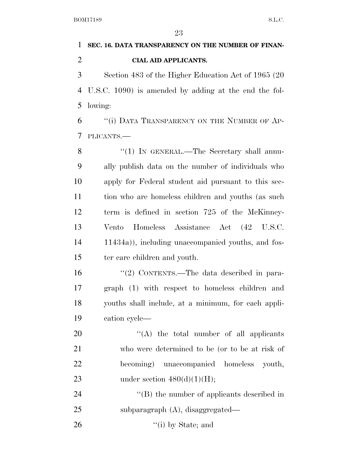# **SEC. 16. DATA TRANSPARENCY ON THE NUMBER OF FINAN- CIAL AID APPLICANTS.**  Section 483 of the Higher Education Act of 1965 (20 U.S.C. 1090) is amended by adding at the end the fol-

lowing:

 ''(i) DATA TRANSPARENCY ON THE NUMBER OF AP-PLICANTS.—

8 "(1) IN GENERAL.—The Secretary shall annu- ally publish data on the number of individuals who apply for Federal student aid pursuant to this sec- tion who are homeless children and youths (as such term is defined in section 725 of the McKinney- Vento Homeless Assistance Act (42 U.S.C. 11434a)), including unaccompanied youths, and fos-ter care children and youth.

16 "(2) CONTENTS.—The data described in para- graph (1) with respect to homeless children and youths shall include, at a minimum, for each appli-cation cycle—

 $\langle (A)$  the total number of all applicants who were determined to be (or to be at risk of becoming) unaccompanied homeless youth, 23 under section  $480(d)(1)(H);$ 

24 ''(B) the number of applicants described in subparagraph (A), disaggregated—

''(i) by State; and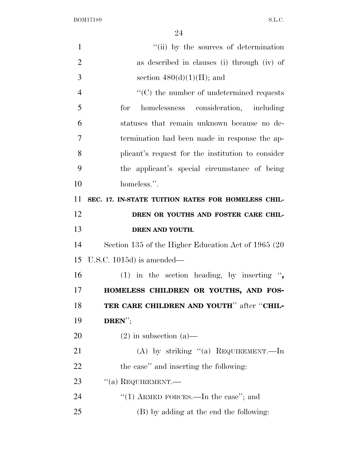| $\mathbf{1}$   | "(ii) by the sources of determination                |
|----------------|------------------------------------------------------|
| $\overline{2}$ | as described in clauses (i) through (iv) of          |
| 3              | section $480(d)(1)(H)$ ; and                         |
| $\overline{4}$ | $\cdot$ (C) the number of undetermined requests      |
| 5              | homelessness consideration, including<br>for         |
| 6              | statuses that remain unknown because no de-          |
| 7              | termination had been made in response the ap-        |
| 8              | plicant's request for the institution to consider    |
| 9              | the applicant's special circumstance of being        |
| 10             | homeless.".                                          |
| 11             | SEC. 17. IN-STATE TUITION RATES FOR HOMELESS CHIL-   |
| 12             | DREN OR YOUTHS AND FOSTER CARE CHIL-                 |
| 13             | DREN AND YOUTH.                                      |
| 14             | Section 135 of the Higher Education Act of 1965 (20) |
| 15             | U.S.C. 1015d) is amended—                            |
| 16             | (1) in the section heading, by inserting ",          |
| 17             | HOMELESS CHILDREN OR YOUTHS, AND FOS-                |
| 18             | TER CARE CHILDREN AND YOUTH" after "CHIL-            |
| 19             | $DREN''$ ;                                           |
| 20             | $(2)$ in subsection $(a)$ —                          |
| 21             | (A) by striking "(a) REQUIREMENT.—In                 |
| 22             | the case" and inserting the following:               |
| 23             | $``(a)$ REQUIREMENT.—                                |
| 24             | "(1) ARMED FORCES.—In the case"; and                 |
| 25             | (B) by adding at the end the following:              |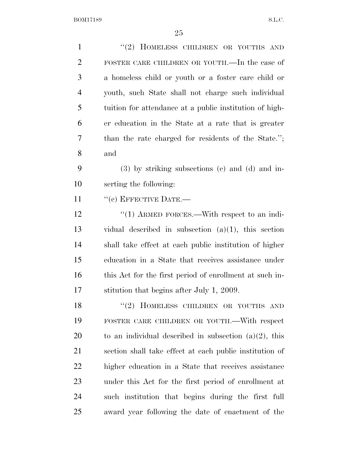| $\mathbf{1}$   | "(2) HOMELESS CHILDREN OR YOUTHS AND                     |
|----------------|----------------------------------------------------------|
| $\overline{2}$ | FOSTER CARE CHILDREN OR YOUTH.—In the case of            |
| 3              | a homeless child or youth or a foster care child or      |
| $\overline{4}$ | youth, such State shall not charge such individual       |
| 5              | tuition for attendance at a public institution of high-  |
| 6              | er education in the State at a rate that is greater      |
| 7              | than the rate charged for residents of the State.";      |
| 8              | and                                                      |
| 9              | $(3)$ by striking subsections $(e)$ and $(d)$ and in-    |
| 10             | serting the following:                                   |
| 11             | $``(c)$ EFFECTIVE DATE.—                                 |
| 12             | "(1) ARMED FORCES.—With respect to an indi-              |
| 13             | vidual described in subsection $(a)(1)$ , this section   |
| 14             | shall take effect at each public institution of higher   |
| 15             | education in a State that receives assistance under      |
| 16             | this Act for the first period of enrollment at such in-  |
| 17             | stitution that begins after July 1, 2009.                |
| 18             | "(2) HOMELESS CHILDREN OR YOUTHS AND                     |
| 19             | FOSTER CARE CHILDREN OR YOUTH.—With respect              |
| 20             | to an individual described in subsection $(a)(2)$ , this |
| 21             | section shall take effect at each public institution of  |
| 22             | higher education in a State that receives assistance     |
| 23             | under this Act for the first period of enrollment at     |
| 24             | such institution that begins during the first full       |
| 25             | award year following the date of enactment of the        |